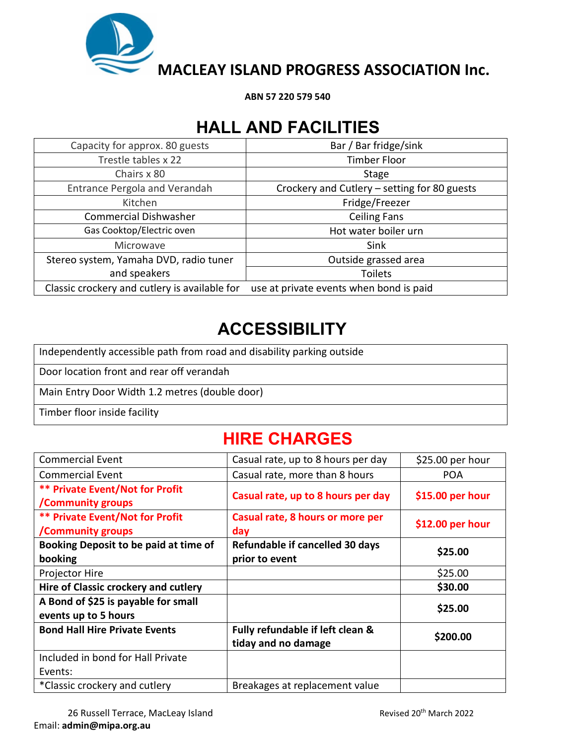

**ABN 57 220 579 540**

## **HALL AND FACILITIES**

| Capacity for approx. 80 guests                | Bar / Bar fridge/sink                        |  |
|-----------------------------------------------|----------------------------------------------|--|
| Trestle tables x 22                           | <b>Timber Floor</b>                          |  |
| Chairs x 80                                   | Stage                                        |  |
| Entrance Pergola and Verandah                 | Crockery and Cutlery - setting for 80 guests |  |
| Kitchen                                       | Fridge/Freezer                               |  |
| <b>Commercial Dishwasher</b>                  | <b>Ceiling Fans</b>                          |  |
| Gas Cooktop/Electric oven                     | Hot water boiler urn                         |  |
| Microwave                                     | Sink                                         |  |
| Stereo system, Yamaha DVD, radio tuner        | Outside grassed area                         |  |
| and speakers                                  | <b>Toilets</b>                               |  |
| Classic crockery and cutlery is available for | use at private events when bond is paid      |  |

## **ACCESSIBILITY**

Independently accessible path from road and disability parking outside

Door location front and rear off verandah

Main Entry Door Width 1.2 metres (double door)

Timber floor inside facility

## **HIRE CHARGES**

| <b>Commercial Event</b>                                            | Casual rate, up to 8 hours per day                      | $$25.00$ per hour |
|--------------------------------------------------------------------|---------------------------------------------------------|-------------------|
| <b>Commercial Event</b>                                            | Casual rate, more than 8 hours                          | <b>POA</b>        |
| <b>** Private Event/Not for Profit</b><br>/Community groups        | Casual rate, up to 8 hours per day                      | \$15.00 per hour  |
| <b>** Private Event/Not for Profit</b><br><b>/Community groups</b> | Casual rate, 8 hours or more per<br>day                 | \$12.00 per hour  |
| Booking Deposit to be paid at time of<br>booking                   | Refundable if cancelled 30 days<br>prior to event       | \$25.00           |
| Projector Hire                                                     |                                                         | \$25.00           |
| Hire of Classic crockery and cutlery                               |                                                         | \$30.00           |
| A Bond of \$25 is payable for small<br>events up to 5 hours        |                                                         | \$25.00           |
| <b>Bond Hall Hire Private Events</b>                               | Fully refundable if left clean &<br>tiday and no damage | \$200.00          |
| Included in bond for Hall Private                                  |                                                         |                   |
| Events:                                                            |                                                         |                   |
| *Classic crockery and cutlery                                      | Breakages at replacement value                          |                   |